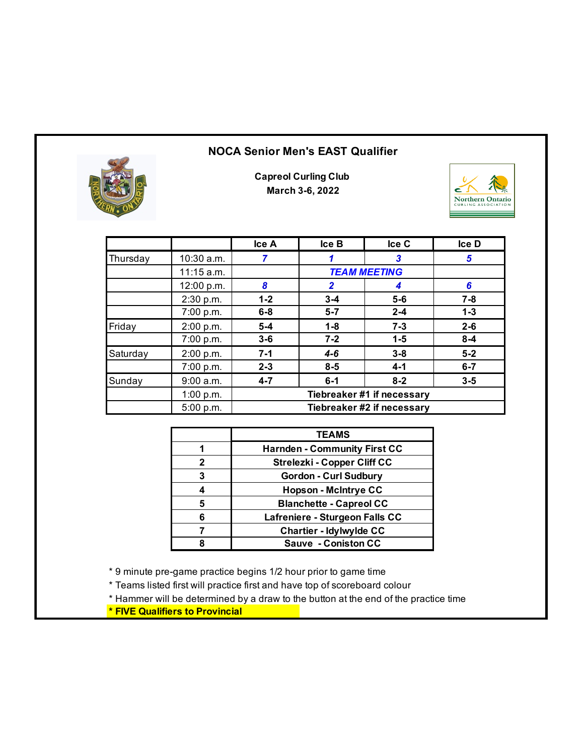## **NOCA Senior Men's EAST Qualifier**



**Capreol Curling Club March 3-6, 2022**



|          |              | Ice A   | lce <sub>B</sub> | Ice C                      | <b>Ice D</b> |
|----------|--------------|---------|------------------|----------------------------|--------------|
| Thursday | 10:30 a.m.   |         |                  | 3                          | 5            |
|          | $11:15$ a.m. |         |                  | <b>TEAM MEETING</b>        |              |
|          | 12:00 p.m.   | 8       | $\mathbf{2}$     | 4                          | 6            |
|          | 2:30 p.m.    | $1 - 2$ | $3 - 4$          | $5-6$                      | $7 - 8$      |
|          | 7:00 p.m.    | $6 - 8$ | $5 - 7$          | $2 - 4$                    | $1 - 3$      |
| Friday   | 2:00 p.m.    | $5-4$   | $1 - 8$          | $7 - 3$                    | $2 - 6$      |
|          | 7:00 p.m.    | $3-6$   | $7 - 2$          | $1 - 5$                    | $8 - 4$      |
| Saturday | 2:00 p.m.    | $7 - 1$ | $4 - 6$          | $3 - 8$                    | $5 - 2$      |
|          | 7:00 p.m.    | $2 - 3$ | $8 - 5$          | $4 - 1$                    | $6 - 7$      |
| Sunday   | 9:00 a.m.    | $4 - 7$ | $6 - 1$          | $8 - 2$                    | $3 - 5$      |
|          | 1:00 p.m.    |         |                  | Tiebreaker #1 if necessary |              |
|          | 5:00 p.m.    |         |                  | Tiebreaker #2 if necessary |              |

|   | <b>TEAMS</b>                        |
|---|-------------------------------------|
|   | <b>Harnden - Community First CC</b> |
| 2 | <b>Strelezki - Copper Cliff CC</b>  |
| 3 | <b>Gordon - Curl Sudbury</b>        |
|   | <b>Hopson - McIntrye CC</b>         |
| 5 | <b>Blanchette - Capreol CC</b>      |
| ห | Lafreniere - Sturgeon Falls CC      |
|   | <b>Chartier - Idylwylde CC</b>      |
|   | <b>Sauve - Coniston CC</b>          |

\* 9 minute pre-game practice begins 1/2 hour prior to game time

\* Teams listed first will practice first and have top of scoreboard colour

\* Hammer will be determined by a draw to the button at the end of the practice time

**\* FIVE Qualifiers to Provincial**